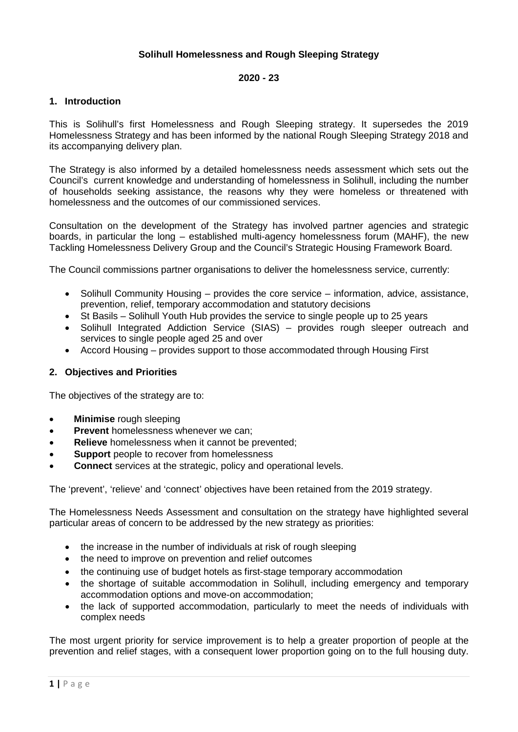# **Solihull Homelessness and Rough Sleeping Strategy**

### **2020 - 23**

# **1. Introduction**

This is Solihull's first Homelessness and Rough Sleeping strategy. It supersedes the 2019 Homelessness Strategy and has been informed by the national Rough Sleeping Strategy 2018 and its accompanying delivery plan.

The Strategy is also informed by a detailed homelessness needs assessment which sets out the Council's current knowledge and understanding of homelessness in Solihull, including the number of households seeking assistance, the reasons why they were homeless or threatened with homelessness and the outcomes of our commissioned services.

Consultation on the development of the Strategy has involved partner agencies and strategic boards, in particular the long – established multi-agency homelessness forum (MAHF), the new Tackling Homelessness Delivery Group and the Council's Strategic Housing Framework Board.

The Council commissions partner organisations to deliver the homelessness service, currently:

- Solihull Community Housing provides the core service information, advice, assistance, prevention, relief, temporary accommodation and statutory decisions
- St Basils Solihull Youth Hub provides the service to single people up to 25 years
- Solihull Integrated Addiction Service (SIAS) provides rough sleeper outreach and services to single people aged 25 and over
- Accord Housing provides support to those accommodated through Housing First

# **2. Objectives and Priorities**

The objectives of the strategy are to:

- **Minimise** rough sleeping
- **Prevent** homelessness whenever we can;
- **Relieve** homelessness when it cannot be prevented;
- **Support** people to recover from homelessness
- **Connect** services at the strategic, policy and operational levels.

The 'prevent', 'relieve' and 'connect' objectives have been retained from the 2019 strategy.

The Homelessness Needs Assessment and consultation on the strategy have highlighted several particular areas of concern to be addressed by the new strategy as priorities:

- the increase in the number of individuals at risk of rough sleeping
- the need to improve on prevention and relief outcomes
- the continuing use of budget hotels as first-stage temporary accommodation
- the shortage of suitable accommodation in Solihull, including emergency and temporary accommodation options and move-on accommodation;
- the lack of supported accommodation, particularly to meet the needs of individuals with complex needs

The most urgent priority for service improvement is to help a greater proportion of people at the prevention and relief stages, with a consequent lower proportion going on to the full housing duty.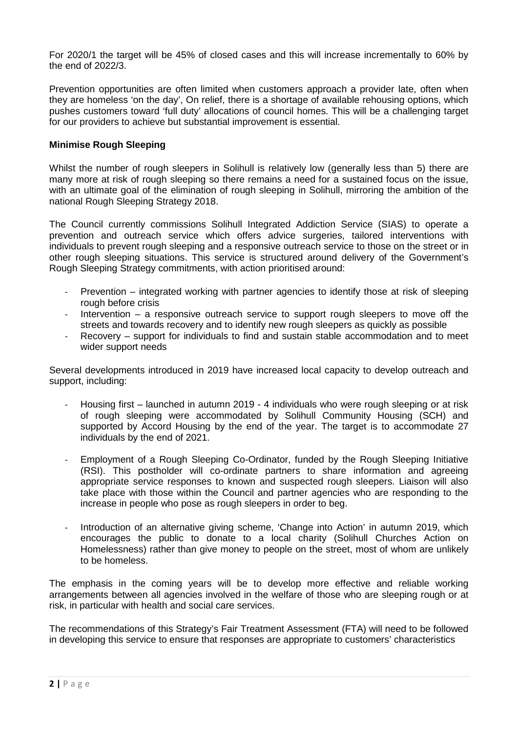For 2020/1 the target will be 45% of closed cases and this will increase incrementally to 60% by the end of 2022/3.

Prevention opportunities are often limited when customers approach a provider late, often when they are homeless 'on the day', On relief, there is a shortage of available rehousing options, which pushes customers toward 'full duty' allocations of council homes. This will be a challenging target for our providers to achieve but substantial improvement is essential.

# **Minimise Rough Sleeping**

Whilst the number of rough sleepers in Solihull is relatively low (generally less than 5) there are many more at risk of rough sleeping so there remains a need for a sustained focus on the issue, with an ultimate goal of the elimination of rough sleeping in Solihull, mirroring the ambition of the national Rough Sleeping Strategy 2018.

The Council currently commissions Solihull Integrated Addiction Service (SIAS) to operate a prevention and outreach service which offers advice surgeries, tailored interventions with individuals to prevent rough sleeping and a responsive outreach service to those on the street or in other rough sleeping situations. This service is structured around delivery of the Government's Rough Sleeping Strategy commitments, with action prioritised around:

- Prevention integrated working with partner agencies to identify those at risk of sleeping rough before crisis
- Intervention a responsive outreach service to support rough sleepers to move off the streets and towards recovery and to identify new rough sleepers as quickly as possible
- Recovery support for individuals to find and sustain stable accommodation and to meet wider support needs

Several developments introduced in 2019 have increased local capacity to develop outreach and support, including:

- Housing first launched in autumn 2019 4 individuals who were rough sleeping or at risk of rough sleeping were accommodated by Solihull Community Housing (SCH) and supported by Accord Housing by the end of the year. The target is to accommodate 27 individuals by the end of 2021.
- Employment of a Rough Sleeping Co-Ordinator, funded by the Rough Sleeping Initiative (RSI). This postholder will co-ordinate partners to share information and agreeing appropriate service responses to known and suspected rough sleepers. Liaison will also take place with those within the Council and partner agencies who are responding to the increase in people who pose as rough sleepers in order to beg.
- Introduction of an alternative giving scheme, 'Change into Action' in autumn 2019, which encourages the public to donate to a local charity (Solihull Churches Action on Homelessness) rather than give money to people on the street, most of whom are unlikely to be homeless.

The emphasis in the coming years will be to develop more effective and reliable working arrangements between all agencies involved in the welfare of those who are sleeping rough or at risk, in particular with health and social care services.

The recommendations of this Strategy's Fair Treatment Assessment (FTA) will need to be followed in developing this service to ensure that responses are appropriate to customers' characteristics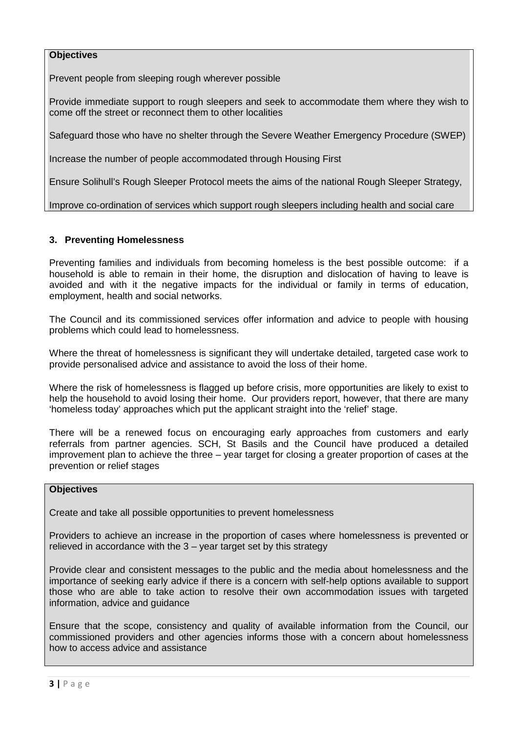# **Objectives**

Prevent people from sleeping rough wherever possible

Provide immediate support to rough sleepers and seek to accommodate them where they wish to come off the street or reconnect them to other localities

Safeguard those who have no shelter through the Severe Weather Emergency Procedure (SWEP)

Increase the number of people accommodated through Housing First

Ensure Solihull's Rough Sleeper Protocol meets the aims of the national Rough Sleeper Strategy,

Improve co-ordination of services which support rough sleepers including health and social care

# **3. Preventing Homelessness**

Preventing families and individuals from becoming homeless is the best possible outcome: if a household is able to remain in their home, the disruption and dislocation of having to leave is avoided and with it the negative impacts for the individual or family in terms of education, employment, health and social networks.

The Council and its commissioned services offer information and advice to people with housing problems which could lead to homelessness.

Where the threat of homelessness is significant they will undertake detailed, targeted case work to provide personalised advice and assistance to avoid the loss of their home.

Where the risk of homelessness is flagged up before crisis, more opportunities are likely to exist to help the household to avoid losing their home. Our providers report, however, that there are many 'homeless today' approaches which put the applicant straight into the 'relief' stage.

There will be a renewed focus on encouraging early approaches from customers and early referrals from partner agencies. SCH, St Basils and the Council have produced a detailed improvement plan to achieve the three – year target for closing a greater proportion of cases at the prevention or relief stages

### **Objectives**

Create and take all possible opportunities to prevent homelessness

Providers to achieve an increase in the proportion of cases where homelessness is prevented or relieved in accordance with the  $3 -$  year target set by this strategy

Provide clear and consistent messages to the public and the media about homelessness and the importance of seeking early advice if there is a concern with self-help options available to support those who are able to take action to resolve their own accommodation issues with targeted information, advice and guidance

Ensure that the scope, consistency and quality of available information from the Council, our commissioned providers and other agencies informs those with a concern about homelessness how to access advice and assistance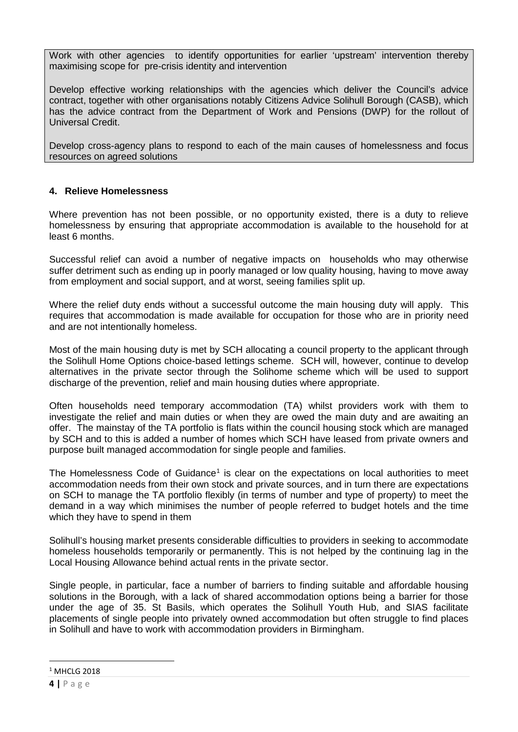Work with other agencies to identify opportunities for earlier 'upstream' intervention thereby maximising scope for pre-crisis identity and intervention

Develop effective working relationships with the agencies which deliver the Council's advice contract, together with other organisations notably Citizens Advice Solihull Borough (CASB), which has the advice contract from the Department of Work and Pensions (DWP) for the rollout of Universal Credit.

Develop cross-agency plans to respond to each of the main causes of homelessness and focus resources on agreed solutions

# **4. Relieve Homelessness**

Where prevention has not been possible, or no opportunity existed, there is a duty to relieve homelessness by ensuring that appropriate accommodation is available to the household for at least 6 months.

Successful relief can avoid a number of negative impacts on households who may otherwise suffer detriment such as ending up in poorly managed or low quality housing, having to move away from employment and social support, and at worst, seeing families split up.

Where the relief duty ends without a successful outcome the main housing duty will apply. This requires that accommodation is made available for occupation for those who are in priority need and are not intentionally homeless.

Most of the main housing duty is met by SCH allocating a council property to the applicant through the Solihull Home Options choice-based lettings scheme. SCH will, however, continue to develop alternatives in the private sector through the Solihome scheme which will be used to support discharge of the prevention, relief and main housing duties where appropriate.

Often households need temporary accommodation (TA) whilst providers work with them to investigate the relief and main duties or when they are owed the main duty and are awaiting an offer. The mainstay of the TA portfolio is flats within the council housing stock which are managed by SCH and to this is added a number of homes which SCH have leased from private owners and purpose built managed accommodation for single people and families.

The Homelessness Code of Guidance<sup>[1](#page-3-0)</sup> is clear on the expectations on local authorities to meet accommodation needs from their own stock and private sources, and in turn there are expectations on SCH to manage the TA portfolio flexibly (in terms of number and type of property) to meet the demand in a way which minimises the number of people referred to budget hotels and the time which they have to spend in them

Solihull's housing market presents considerable difficulties to providers in seeking to accommodate homeless households temporarily or permanently. This is not helped by the continuing lag in the Local Housing Allowance behind actual rents in the private sector.

Single people, in particular, face a number of barriers to finding suitable and affordable housing solutions in the Borough, with a lack of shared accommodation options being a barrier for those under the age of 35. St Basils, which operates the Solihull Youth Hub, and SIAS facilitate placements of single people into privately owned accommodation but often struggle to find places in Solihull and have to work with accommodation providers in Birmingham.

<u>.</u>

<span id="page-3-0"></span> $1$  MHCLG 2018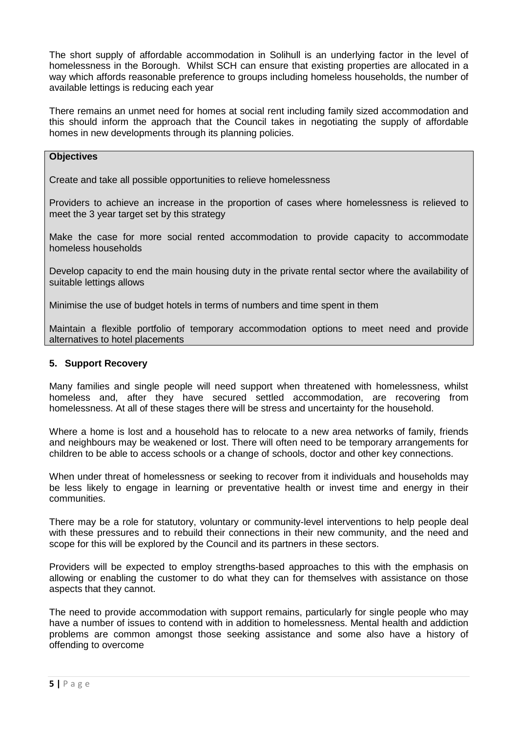The short supply of affordable accommodation in Solihull is an underlying factor in the level of homelessness in the Borough. Whilst SCH can ensure that existing properties are allocated in a way which affords reasonable preference to groups including homeless households, the number of available lettings is reducing each year

There remains an unmet need for homes at social rent including family sized accommodation and this should inform the approach that the Council takes in negotiating the supply of affordable homes in new developments through its planning policies.

### **Objectives**

Create and take all possible opportunities to relieve homelessness

Providers to achieve an increase in the proportion of cases where homelessness is relieved to meet the 3 year target set by this strategy

Make the case for more social rented accommodation to provide capacity to accommodate homeless households

Develop capacity to end the main housing duty in the private rental sector where the availability of suitable lettings allows

Minimise the use of budget hotels in terms of numbers and time spent in them

Maintain a flexible portfolio of temporary accommodation options to meet need and provide alternatives to hotel placements

### **5. Support Recovery**

Many families and single people will need support when threatened with homelessness, whilst homeless and, after they have secured settled accommodation, are recovering from homelessness. At all of these stages there will be stress and uncertainty for the household.

Where a home is lost and a household has to relocate to a new area networks of family, friends and neighbours may be weakened or lost. There will often need to be temporary arrangements for children to be able to access schools or a change of schools, doctor and other key connections.

When under threat of homelessness or seeking to recover from it individuals and households may be less likely to engage in learning or preventative health or invest time and energy in their communities.

There may be a role for statutory, voluntary or community-level interventions to help people deal with these pressures and to rebuild their connections in their new community, and the need and scope for this will be explored by the Council and its partners in these sectors.

Providers will be expected to employ strengths-based approaches to this with the emphasis on allowing or enabling the customer to do what they can for themselves with assistance on those aspects that they cannot.

The need to provide accommodation with support remains, particularly for single people who may have a number of issues to contend with in addition to homelessness. Mental health and addiction problems are common amongst those seeking assistance and some also have a history of offending to overcome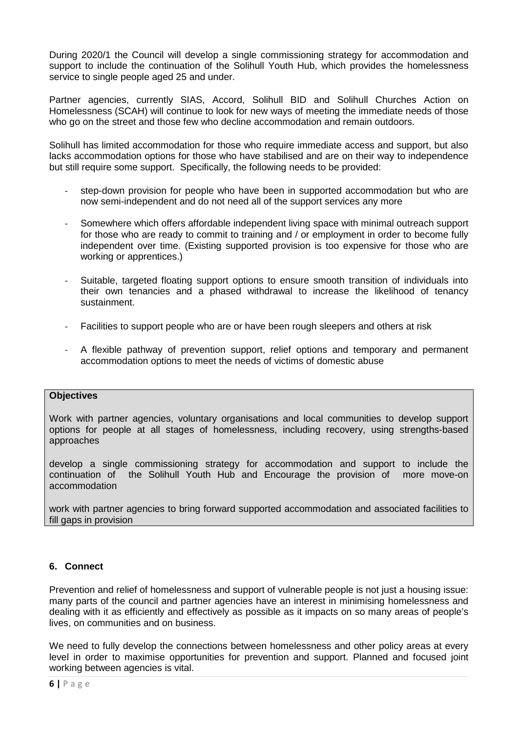During 2020/1 the Council will develop a single commissioning strategy for accommodation and support to include the continuation of the Solihull Youth Hub, which provides the homelessness service to single people aged 25 and under.

Partner agencies, currently SIAS, Accord, Solihull BID and Solihull Churches Action on Homelessness (SCAH) will continue to look for new ways of meeting the immediate needs of those who go on the street and those few who decline accommodation and remain outdoors.

Solihull has limited accommodation for those who require immediate access and support, but also lacks accommodation options for those who have stabilised and are on their way to independence but still require some support. Specifically, the following needs to be provided:

- step-down provision for people who have been in supported accommodation but who are now semi-independent and do not need all of the support services any more
- Somewhere which offers affordable independent living space with minimal outreach support for those who are ready to commit to training and / or employment in order to become fully independent over time. (Existing supported provision is too expensive for those who are working or apprentices.)
- Suitable, targeted floating support options to ensure smooth transition of individuals into their own tenancies and a phased withdrawal to increase the likelihood of tenancy sustainment.
- Facilities to support people who are or have been rough sleepers and others at risk
- A flexible pathway of prevention support, relief options and temporary and permanent accommodation options to meet the needs of victims of domestic abuse

# **Objectives**

Work with partner agencies, voluntary organisations and local communities to develop support options for people at all stages of homelessness, including recovery, using strengths-based approaches

develop a single commissioning strategy for accommodation and support to include the continuation of the Solihull Youth Hub and Encourage the provision of more move-on accommodation

work with partner agencies to bring forward supported accommodation and associated facilities to fill gaps in provision

# **6. Connect**

Prevention and relief of homelessness and support of vulnerable people is not just a housing issue: many parts of the council and partner agencies have an interest in minimising homelessness and dealing with it as efficiently and effectively as possible as it impacts on so many areas of people's lives, on communities and on business.

We need to fully develop the connections between homelessness and other policy areas at every level in order to maximise opportunities for prevention and support. Planned and focused joint working between agencies is vital.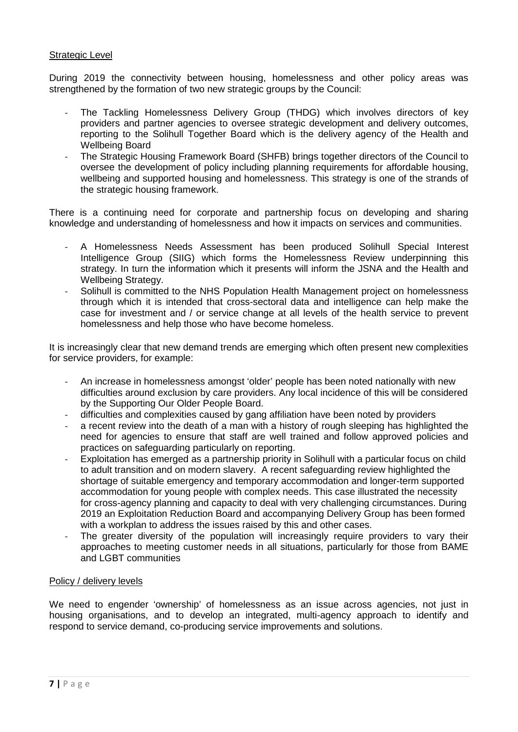# Strategic Level

During 2019 the connectivity between housing, homelessness and other policy areas was strengthened by the formation of two new strategic groups by the Council:

- The Tackling Homelessness Delivery Group (THDG) which involves directors of key providers and partner agencies to oversee strategic development and delivery outcomes, reporting to the Solihull Together Board which is the delivery agency of the Health and Wellbeing Board
- The Strategic Housing Framework Board (SHFB) brings together directors of the Council to oversee the development of policy including planning requirements for affordable housing, wellbeing and supported housing and homelessness. This strategy is one of the strands of the strategic housing framework.

There is a continuing need for corporate and partnership focus on developing and sharing knowledge and understanding of homelessness and how it impacts on services and communities.

- A Homelessness Needs Assessment has been produced Solihull Special Interest Intelligence Group (SIIG) which forms the Homelessness Review underpinning this strategy. In turn the information which it presents will inform the JSNA and the Health and Wellbeing Strategy.
- Solihull is committed to the NHS Population Health Management project on homelessness through which it is intended that cross-sectoral data and intelligence can help make the case for investment and / or service change at all levels of the health service to prevent homelessness and help those who have become homeless.

It is increasingly clear that new demand trends are emerging which often present new complexities for service providers, for example:

- An increase in homelessness amongst 'older' people has been noted nationally with new difficulties around exclusion by care providers. Any local incidence of this will be considered by the Supporting Our Older People Board.
- difficulties and complexities caused by gang affiliation have been noted by providers
- a recent review into the death of a man with a history of rough sleeping has highlighted the need for agencies to ensure that staff are well trained and follow approved policies and practices on safeguarding particularly on reporting.
- Exploitation has emerged as a partnership priority in Solihull with a particular focus on child to adult transition and on modern slavery. A recent safeguarding review highlighted the shortage of suitable emergency and temporary accommodation and longer-term supported accommodation for young people with complex needs. This case illustrated the necessity for cross-agency planning and capacity to deal with very challenging circumstances. During 2019 an Exploitation Reduction Board and accompanying Delivery Group has been formed with a workplan to address the issues raised by this and other cases.
- The greater diversity of the population will increasingly require providers to vary their approaches to meeting customer needs in all situations, particularly for those from BAME and LGBT communities

#### Policy / delivery levels

We need to engender 'ownership' of homelessness as an issue across agencies, not just in housing organisations, and to develop an integrated, multi-agency approach to identify and respond to service demand, co-producing service improvements and solutions.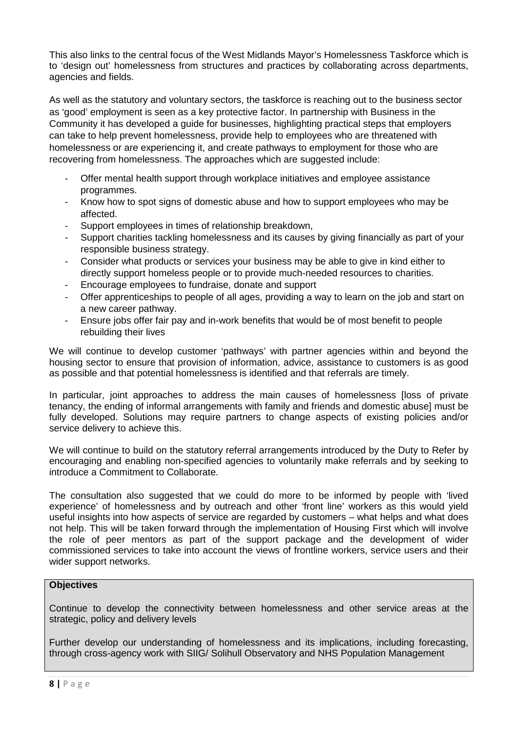This also links to the central focus of the West Midlands Mayor's Homelessness Taskforce which is to 'design out' homelessness from structures and practices by collaborating across departments, agencies and fields.

As well as the statutory and voluntary sectors, the taskforce is reaching out to the business sector as 'good' employment is seen as a key protective factor. In partnership with Business in the Community it has developed a guide for businesses, highlighting practical steps that employers can take to help prevent homelessness, provide help to employees who are threatened with homelessness or are experiencing it, and create pathways to employment for those who are recovering from homelessness. The approaches which are suggested include:

- Offer mental health support through workplace initiatives and employee assistance programmes.
- Know how to spot signs of domestic abuse and how to support employees who may be affected.
- Support employees in times of relationship breakdown,
- Support charities tackling homelessness and its causes by giving financially as part of your responsible business strategy.
- Consider what products or services your business may be able to give in kind either to directly support homeless people or to provide much-needed resources to charities.
- Encourage employees to fundraise, donate and support
- Offer apprenticeships to people of all ages, providing a way to learn on the job and start on a new career pathway.
- Ensure jobs offer fair pay and in-work benefits that would be of most benefit to people rebuilding their lives

We will continue to develop customer 'pathways' with partner agencies within and beyond the housing sector to ensure that provision of information, advice, assistance to customers is as good as possible and that potential homelessness is identified and that referrals are timely.

In particular, joint approaches to address the main causes of homelessness floss of private tenancy, the ending of informal arrangements with family and friends and domestic abuse] must be fully developed. Solutions may require partners to change aspects of existing policies and/or service delivery to achieve this.

We will continue to build on the statutory referral arrangements introduced by the Duty to Refer by encouraging and enabling non-specified agencies to voluntarily make referrals and by seeking to introduce a Commitment to Collaborate.

The consultation also suggested that we could do more to be informed by people with 'lived experience' of homelessness and by outreach and other 'front line' workers as this would yield useful insights into how aspects of service are regarded by customers – what helps and what does not help. This will be taken forward through the implementation of Housing First which will involve the role of peer mentors as part of the support package and the development of wider commissioned services to take into account the views of frontline workers, service users and their wider support networks.

# **Objectives**

Continue to develop the connectivity between homelessness and other service areas at the strategic, policy and delivery levels

Further develop our understanding of homelessness and its implications, including forecasting, through cross-agency work with SIIG/ Solihull Observatory and NHS Population Management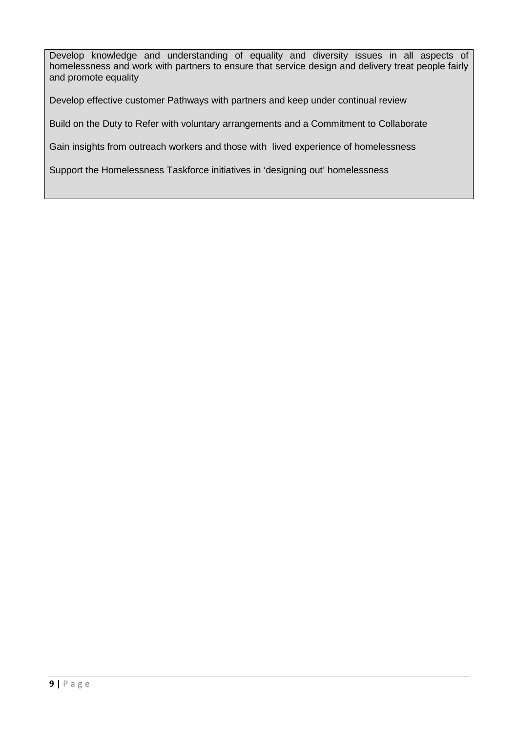Develop knowledge and understanding of equality and diversity issues in all aspects of homelessness and work with partners to ensure that service design and delivery treat people fairly and promote equality

Develop effective customer Pathways with partners and keep under continual review

Build on the Duty to Refer with voluntary arrangements and a Commitment to Collaborate

Gain insights from outreach workers and those with lived experience of homelessness

Support the Homelessness Taskforce initiatives in 'designing out' homelessness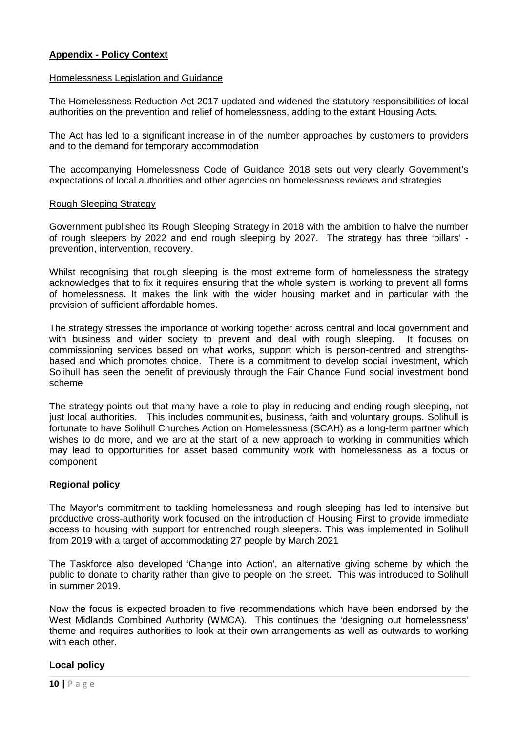# **Appendix - Policy Context**

#### Homelessness Legislation and Guidance

The Homelessness Reduction Act 2017 updated and widened the statutory responsibilities of local authorities on the prevention and relief of homelessness, adding to the extant Housing Acts.

The Act has led to a significant increase in of the number approaches by customers to providers and to the demand for temporary accommodation

The accompanying Homelessness Code of Guidance 2018 sets out very clearly Government's expectations of local authorities and other agencies on homelessness reviews and strategies

#### Rough Sleeping Strategy

Government published its Rough Sleeping Strategy in 2018 with the ambition to halve the number of rough sleepers by 2022 and end rough sleeping by 2027. The strategy has three 'pillars' prevention, intervention, recovery.

Whilst recognising that rough sleeping is the most extreme form of homelessness the strategy acknowledges that to fix it requires ensuring that the whole system is working to prevent all forms of homelessness. It makes the link with the wider housing market and in particular with the provision of sufficient affordable homes.

The strategy stresses the importance of working together across central and local government and with business and wider society to prevent and deal with rough sleeping. It focuses on commissioning services based on what works, support which is person-centred and strengthsbased and which promotes choice. There is a commitment to develop social investment, which Solihull has seen the benefit of previously through the Fair Chance Fund social investment bond scheme

The strategy points out that many have a role to play in reducing and ending rough sleeping, not just local authorities. This includes communities, business, faith and voluntary groups. Solihull is fortunate to have Solihull Churches Action on Homelessness (SCAH) as a long-term partner which wishes to do more, and we are at the start of a new approach to working in communities which may lead to opportunities for asset based community work with homelessness as a focus or component

# **Regional policy**

The Mayor's commitment to tackling homelessness and rough sleeping has led to intensive but productive cross-authority work focused on the introduction of Housing First to provide immediate access to housing with support for entrenched rough sleepers. This was implemented in Solihull from 2019 with a target of accommodating 27 people by March 2021

The Taskforce also developed 'Change into Action', an alternative giving scheme by which the public to donate to charity rather than give to people on the street. This was introduced to Solihull in summer 2019.

Now the focus is expected broaden to five recommendations which have been endorsed by the West Midlands Combined Authority (WMCA). This continues the 'designing out homelessness' theme and requires authorities to look at their own arrangements as well as outwards to working with each other.

# **Local policy**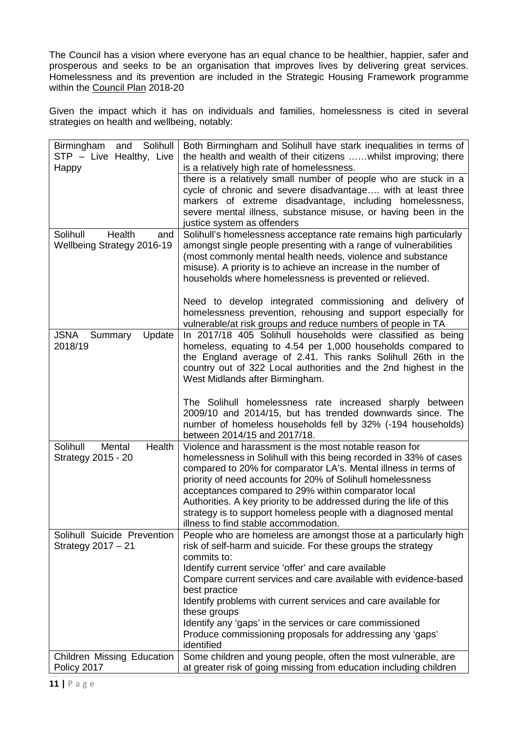The Council has a vision where everyone has an equal chance to be healthier, happier, safer and prosperous and seeks to be an organisation that improves lives by delivering great services. Homelessness and its prevention are included in the Strategic Housing Framework programme within the Council Plan 2018-20

Given the impact which it has on individuals and families, homelessness is cited in several strategies on health and wellbeing, notably:

| Birmingham<br>Solihull<br>and                       | Both Birmingham and Solihull have stark inequalities in terms of                                                                 |
|-----------------------------------------------------|----------------------------------------------------------------------------------------------------------------------------------|
| STP - Live Healthy, Live                            | the health and wealth of their citizens  whilst improving; there                                                                 |
| Happy                                               | is a relatively high rate of homelessness.                                                                                       |
|                                                     | there is a relatively small number of people who are stuck in a                                                                  |
|                                                     | cycle of chronic and severe disadvantage with at least three                                                                     |
|                                                     | markers of extreme disadvantage, including homelessness,                                                                         |
|                                                     | severe mental illness, substance misuse, or having been in the                                                                   |
|                                                     | justice system as offenders                                                                                                      |
| Solihull<br>Health<br>and                           | Solihull's homelessness acceptance rate remains high particularly                                                                |
| <b>Wellbeing Strategy 2016-19</b>                   | amongst single people presenting with a range of vulnerabilities                                                                 |
|                                                     | (most commonly mental health needs, violence and substance                                                                       |
|                                                     | misuse). A priority is to achieve an increase in the number of                                                                   |
|                                                     | households where homelessness is prevented or relieved.                                                                          |
|                                                     |                                                                                                                                  |
|                                                     | Need to develop integrated commissioning and delivery of<br>homelessness prevention, rehousing and support especially for        |
|                                                     | vulnerable/at risk groups and reduce numbers of people in TA                                                                     |
| JSNA<br>Summary<br>Update                           | In 2017/18 405 Solihull households were classified as being                                                                      |
| 2018/19                                             | homeless, equating to 4.54 per 1,000 households compared to                                                                      |
|                                                     | the England average of 2.41. This ranks Solihull 26th in the                                                                     |
|                                                     | country out of 322 Local authorities and the 2nd highest in the                                                                  |
|                                                     | West Midlands after Birmingham.                                                                                                  |
|                                                     |                                                                                                                                  |
|                                                     | The Solihull homelessness rate increased sharply between                                                                         |
|                                                     | 2009/10 and 2014/15, but has trended downwards since. The                                                                        |
|                                                     | number of homeless households fell by 32% (-194 households)                                                                      |
|                                                     | between 2014/15 and 2017/18.                                                                                                     |
| Health<br>Solihull<br>Mental                        | Violence and harassment is the most notable reason for                                                                           |
| Strategy 2015 - 20                                  | homelessness in Solihull with this being recorded in 33% of cases                                                                |
|                                                     | compared to 20% for comparator LA's. Mental illness in terms of                                                                  |
|                                                     | priority of need accounts for 20% of Solihull homelessness                                                                       |
|                                                     | acceptances compared to 29% within comparator local                                                                              |
|                                                     | Authorities. A key priority to be addressed during the life of this                                                              |
|                                                     | strategy is to support homeless people with a diagnosed mental                                                                   |
|                                                     | illness to find stable accommodation.                                                                                            |
| Solihull Suicide Prevention<br>Strategy $2017 - 21$ | People who are homeless are amongst those at a particularly high<br>risk of self-harm and suicide. For these groups the strategy |
|                                                     | commits to:                                                                                                                      |
|                                                     | Identify current service 'offer' and care available                                                                              |
|                                                     | Compare current services and care available with evidence-based                                                                  |
|                                                     | best practice                                                                                                                    |
|                                                     | Identify problems with current services and care available for                                                                   |
|                                                     | these groups                                                                                                                     |
|                                                     | Identify any 'gaps' in the services or care commissioned                                                                         |
|                                                     | Produce commissioning proposals for addressing any 'gaps'                                                                        |
|                                                     | identified                                                                                                                       |
| Children Missing Education                          | Some children and young people, often the most vulnerable, are                                                                   |
| Policy 2017                                         | at greater risk of going missing from education including children                                                               |